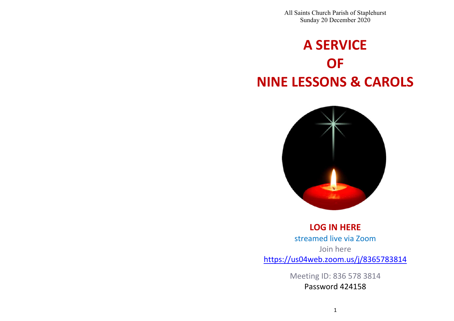All Saints Church Parish of Staplehurst Sunday 20 December 2020

# **A SERVICE OF NINE LESSONS & CAROLS**



**LOG IN HERE** streamed live via Zoom Join here https://us04web.zoom.us/j/8365783814

> Meeting ID: 836 578 3814 Password 424158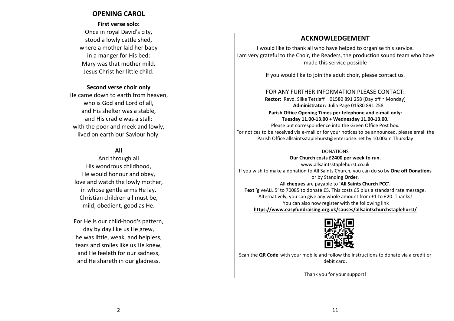# **OPENING CAROL**

# **First verse solo:** Once in royal David's city, stood a lowly cattle shed, where a mother laid her baby in a manger for His bed: Mary was that mother mild, Jesus Christ her little child.

#### **Second verse choir only**

He came down to earth from heaven, who is God and Lord of all, and His shelter was a stable, and His cradle was a stall; with the poor and meek and lowly, lived on earth our Saviour holy.

### **All**

And through all His wondrous childhood, He would honour and obey, love and watch the lowly mother, in whose gentle arms He lay. Christian children all must be, mild, obedient, good as He.

For He is our child-hood's pattern, day by day like us He grew, he was little, weak, and helpless, tears and smiles like us He knew, and He feeleth for our sadness, and He shareth in our gladness.

# **ACKNOWLEDGEMENT**

I would like to thank all who have helped to organise this service. I am very grateful to the Choir, the Readers, the production sound team who have made this service possible

If you would like to join the adult choir, please contact us.

## FOR ANY FURTHER INFORMATION PLEASE CONTACT:

**Rector:** Revd. Silke Tetzlaff 01580 891 258 (Day off ~ Monday)  **Administrator:** Julia Page 01580 891 258

**Parish Office Opening Times per telephone and e-mail only: Tuesday 11.00-13.00 + Wednesday 11.00-13.00.**

Please put correspondence into the Green Office Post box. For notices to be received via e-mail or for your notices to be announced, please email the Parish Office allsaintsstaplehurst@enterprise.net by 10.00am Thursday

#### DONATIONS

**Our Church costs £2400 per week to run.**

www.allsaintsstaplehurst.co.uk If you wish to make a donation to All Saints Church, you can do so by **One off Donations** or by Standing **Order**,

#### All **cheques** are payable to **'All Saints Church PCC'.**

**Text** 'giveALL 5' to 70085 to donate £5. This costs £5 plus a standard rate message. Alternatively, you can give any whole amount from £1 to £20. Thanks! You can also now register with the following link **https://www.easyfundraising.org.uk/causes/allsaintschurchstaplehurst/**



Scan the **QR Code** with your mobile and follow the instructions to donate via a credit or debit card.

Thank you for your support!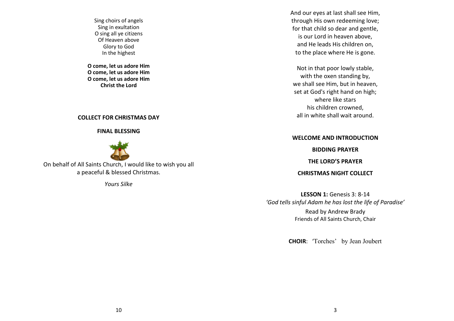Sing choirs of angels Sing in exultation O sing all ye citizens Of Heaven above Glory to God In the highest

**O come, let us adore Him O come, let us adore Him O come, let us adore Him Christ the Lord**

#### **COLLECT FOR CHRISTMAS DAY**

**FINAL BLESSING**



On behalf of All Saints Church, I would like to wish you all a peaceful & blessed Christmas.

*Yours Silke*

And our eyes at last shall see Him, through His own redeeming love; for that child so dear and gentle, is our Lord in heaven above, and He leads His children on, to the place where He is gone.

Not in that poor lowly stable, with the oxen standing by, we shall see Him, but in heaven, set at God's right hand on high; where like stars his children crowned, all in white shall wait around.

#### **WELCOME AND INTRODUCTION**

**BIDDING PRAYER**

**THE LORD'S PRAYER**

**CHRISTMAS NIGHT COLLECT**

**LESSON 1:** Genesis 3: 8-14 *'God tells sinful Adam he has lost the life of Paradise'* Read by Andrew Brady Friends of All Saints Church, Chair

**CHOIR**: 'Torches' by Jean Joubert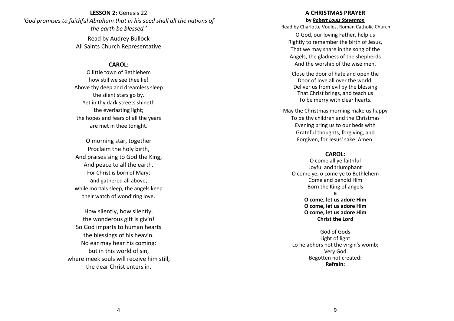## **LESSON 2:** Genesis 22 *'God promises to faithful Abraham that in his seed shall all the nations of the earth be blessed.'*

Read by Audrey Bullock All Saints Church Representative

#### **CAROL:**

O little town of Bethlehem how still we see thee lie! Above thy deep and dreamless sleep the silent stars go by. Yet in thy dark streets shineth the everlasting light; the hopes and fears of all the years are met in thee tonight.

O morning star, together Proclaim the holy birth, And praises sing to God the King, And peace to all the earth. For Christ is born of Mary; and gathered all above, while mortals sleep, the angels keep their watch of wond'ring love.

How silently, how silently, the wonderous gift is giv'n! So God imparts to human hearts the blessings of his heav'n. No ear may hear his coming: but in this world of sin, where meek souls will receive him still, the dear Christ enters in.

#### **A CHRISTMAS PRAYER**

**by** *Robert Louis Stevenson*

Read by Charlotte Voules, Roman Catholic Church

O God, our loving Father, help us Rightly to remember the birth of Jesus, That we may share in the song of the Angels, the gladness of the shepherds And the worship of the wise men.

Close the door of hate and open the Door of love all over the world. Deliver us from evil by the blessing That Christ brings, and teach us To be merry with clear hearts.

May the Christmas morning make us happy To be thy children and the Christmas Evening bring us to our beds with Grateful thoughts, forgiving, and Forgiven, for Jesus' sake. Amen.

#### **CAROL:**

O come all ye faithful Joyful and triumphant O come ye, o come ye to Bethlehem Come and behold Him Born the King of angels e

**O come, let us adore Him O come, let us adore Him O come, let us adore Him Christ the Lord**

God of Gods Light of light Lo he abhors not the virgin's womb; Very God Begotten not created: **Refrain:**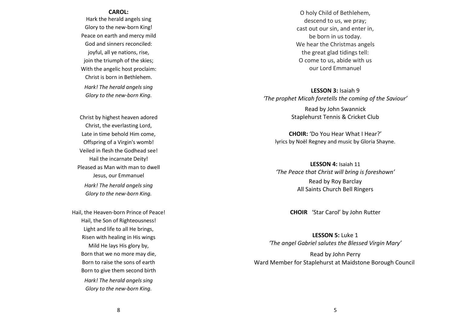#### **CAROL:**

Hark the herald angels sing Glory to the new-born King! Peace on earth and mercy mild God and sinners reconciled: joyful, all ye nations, rise, join the triumph of the skies; With the angelic host proclaim: Christ is born in Bethlehem. *Hark! The herald angels sing Glory to the new-born King.*

Christ by highest heaven adored Christ, the everlasting Lord, Late in time behold Him come, Offspring of a Virgin's womb! Veiled in flesh the Godhead see! Hail the incarnate Deity! Pleased as Man with man to dwell Jesus, our Emmanuel *Hark! The herald angels sing Glory to the new-born King.*

Hail, the Heaven-born Prince of Peace! Hail, the Son of Righteousness! Light and life to all He brings, Risen with healing in His wings Mild He lays His glory by, Born that we no more may die, Born to raise the sons of earth Born to give them second birth *Hark! The herald angels sing Glory to the new-born King.*

O holy Child of Bethlehem, descend to us, we pray; cast out our sin, and enter in, be born in us today. We hear the Christmas angels the great glad tidings tell: O come to us, abide with us our Lord Emmanuel

**LESSON 3:** Isaiah 9 *'The prophet Micah foretells the coming of the Saviour'*

> Read by John Swannick Staplehurst Tennis & Cricket Club

**CHOIR:** 'Do You Hear What I Hear?' lyrics by Noël Regney and music by Gloria Shayne.

**LESSON 4:** Isaiah 11 *'The Peace that Christ will bring is foreshown'* Read by Roy Barclay All Saints Church Bell Ringers

**CHOIR** 'Star Carol' by John Rutter

**LESSON 5:** Luke 1 *'The angel Gabriel salutes the Blessed Virgin Mary'*

Read by John Perry Ward Member for Staplehurst at Maidstone Borough Council

8